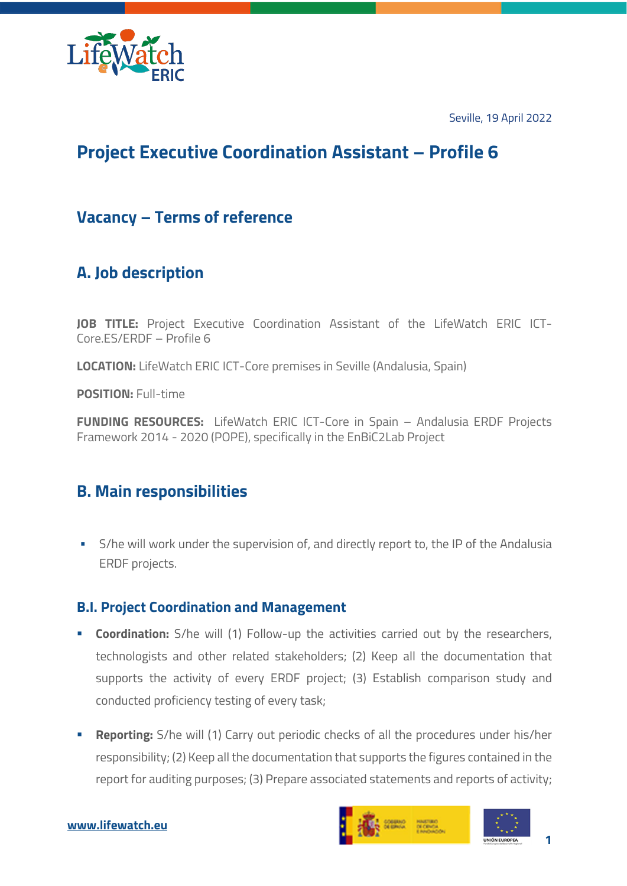

Seville, 19 April 2022

# **Project Executive Coordination Assistant – Profile 6**

### **Vacancy – Terms of reference**

# **A. Job description**

**JOB TITLE:** Project Executive Coordination Assistant of the LifeWatch ERIC ICT-Core.ES/ERDF – Profile 6

**LOCATION:** LifeWatch ERIC ICT-Core premises in Seville (Andalusia, Spain)

**POSITION:** Full-time

**FUNDING RESOURCES:** LifeWatch ERIC ICT-Core in Spain – Andalusia ERDF Projects Framework 2014 - 2020 (POPE), specifically in the EnBiC2Lab Project

### **B. Main responsibilities**

S/he will work under the supervision of, and directly report to, the IP of the Andalusia ERDF projects.

#### **B.I. Project Coordination and Management**

- **Coordination:** S/he will (1) Follow-up the activities carried out by the researchers, technologists and other related stakeholders; (2) Keep all the documentation that supports the activity of every ERDF project; (3) Establish comparison study and conducted proficiency testing of every task;
- **Reporting:** S/he will (1) Carry out periodic checks of all the procedures under his/her responsibility; (2) Keep all the documentation that supports the figures contained in the report for auditing purposes; (3) Prepare associated statements and reports of activity;



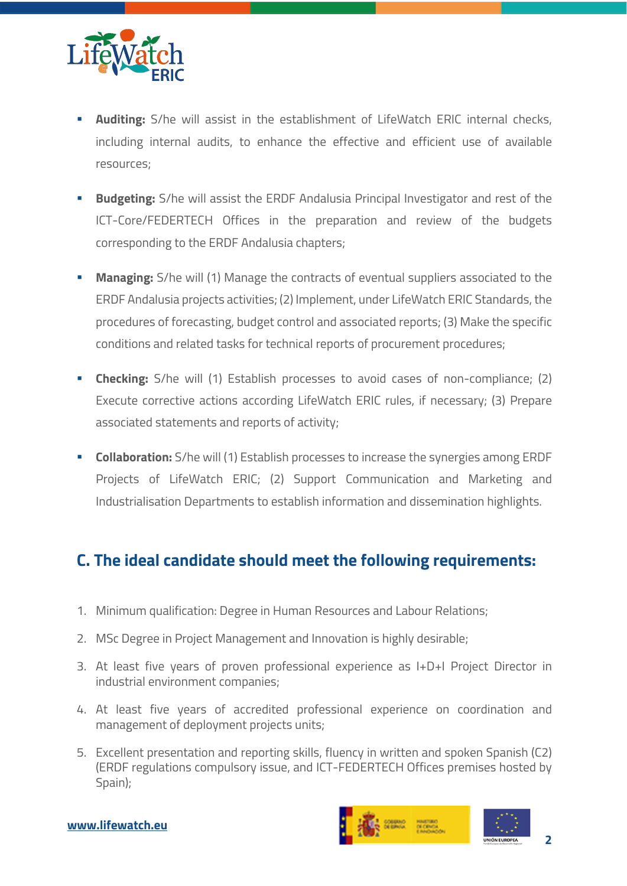

- **Auditing:** S/he will assist in the establishment of LifeWatch ERIC internal checks, including internal audits, to enhance the effective and efficient use of available resources;
- **Budgeting:** S/he will assist the ERDF Andalusia Principal Investigator and rest of the ICT-Core/FEDERTECH Offices in the preparation and review of the budgets corresponding to the ERDF Andalusia chapters;
- **Managing:** S/he will (1) Manage the contracts of eventual suppliers associated to the ERDF Andalusia projects activities; (2) Implement, under LifeWatch ERIC Standards, the procedures of forecasting, budget control and associated reports; (3) Make the specific conditions and related tasks for technical reports of procurement procedures;
- **Checking:** S/he will (1) Establish processes to avoid cases of non-compliance; (2) Execute corrective actions according LifeWatch ERIC rules, if necessary; (3) Prepare associated statements and reports of activity;
- **Collaboration:** S/he will (1) Establish processes to increase the synergies among ERDF Projects of LifeWatch ERIC; (2) Support Communication and Marketing and Industrialisation Departments to establish information and dissemination highlights.

## **C. The ideal candidate should meet the following requirements:**

- 1. Minimum qualification: Degree in Human Resources and Labour Relations;
- 2. MSc Degree in Project Management and Innovation is highly desirable;
- 3. At least five years of proven professional experience as I+D+I Project Director in industrial environment companies;
- 4. At least five years of accredited professional experience on coordination and management of deployment projects units;
- 5. Excellent presentation and reporting skills, fluency in written and spoken Spanish (C2) (ERDF regulations compulsory issue, and ICT-FEDERTECH Offices premises hosted by Spain);

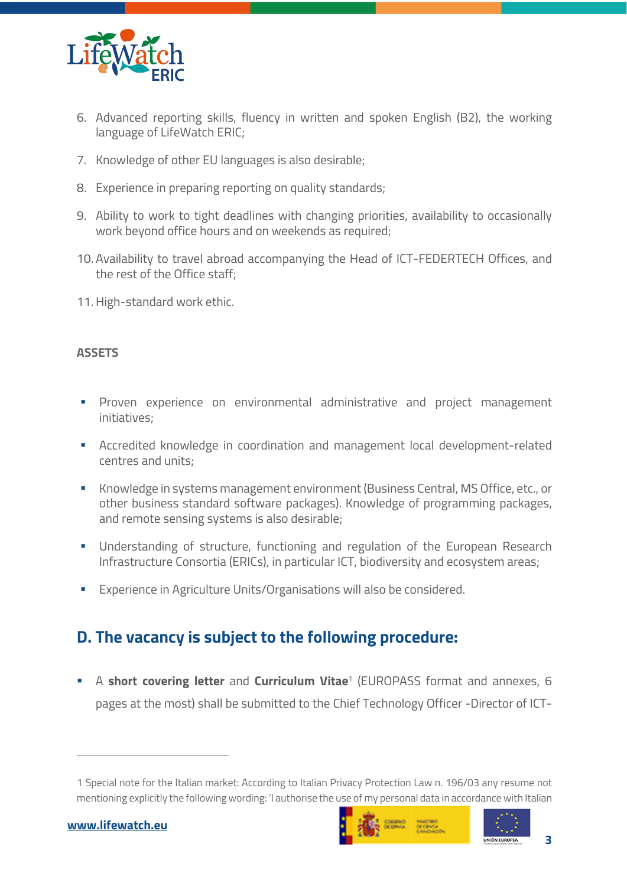

- 6. Advanced reporting skills, fluency in written and spoken English (B2), the working language of LifeWatch ERIC;
- 7. Knowledge of other EU languages is also desirable;
- 8. Experience in preparing reporting on quality standards;
- 9. Ability to work to tight deadlines with changing priorities, availability to occasionally work beyond office hours and on weekends as required;
- 10. Availability to travel abroad accompanying the Head of ICT-FEDERTECH Offices, and the rest of the Office staff;
- 11.High-standard work ethic.

#### **ASSETS**

- § Proven experience on environmental administrative and project management initiatives;
- § Accredited knowledge in coordination and management local development-related centres and units;
- § Knowledge in systems management environment (Business Central, MS Office, etc., or other business standard software packages). Knowledge of programming packages, and remote sensing systems is also desirable;
- Understanding of structure, functioning and regulation of the European Research Infrastructure Consortia (ERICs), in particular ICT, biodiversity and ecosystem areas;
- Experience in Agriculture Units/Organisations will also be considered.

## **D. The vacancy is subject to the following procedure:**

§ A **short covering letter** and **Curriculum Vitae**<sup>1</sup> (EUROPASS format and annexes, 6 pages at the most) shall be submitted to the Chief Technology Officer -Director of ICT-





<sup>1</sup> Special note for the Italian market: According to Italian Privacy Protection Law n. 196/03 any resume not mentioning explicitly the following wording: 'I authorise the use of my personal data in accordance with Italian